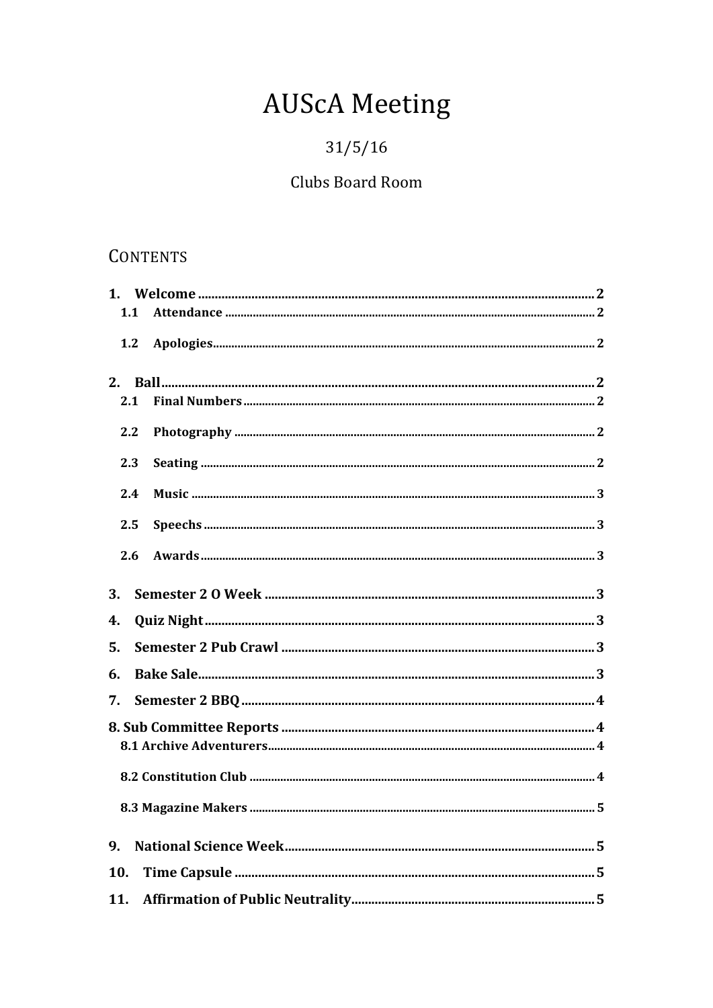# **AUScA Meeting**

# $31/5/16$

# Clubs Board Room

# **CONTENTS**

| 1.1 |  |  |  |
|-----|--|--|--|
| 1.2 |  |  |  |
| 2.  |  |  |  |
| 2.1 |  |  |  |
| 2.2 |  |  |  |
| 2.3 |  |  |  |
| 2.4 |  |  |  |
| 2.5 |  |  |  |
| 2.6 |  |  |  |
| 3.  |  |  |  |
| 4.  |  |  |  |
| 5.  |  |  |  |
| 6.  |  |  |  |
| 7.  |  |  |  |
|     |  |  |  |
|     |  |  |  |
|     |  |  |  |
|     |  |  |  |
| 9.  |  |  |  |
| 10. |  |  |  |
| 11. |  |  |  |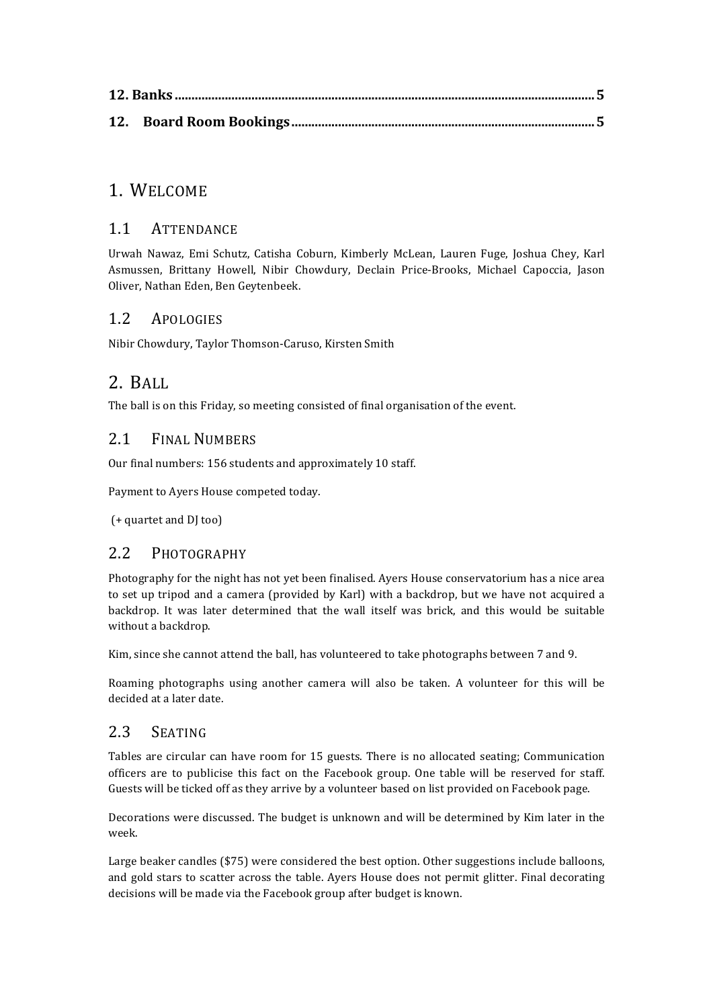### 1. WELCOME

#### 1.1 ATTENDANCE

Urwah Nawaz, Emi Schutz, Catisha Coburn, Kimberly McLean, Lauren Fuge, Joshua Chey, Karl Asmussen, Brittany Howell, Nibir Chowdury, Declain Price-Brooks, Michael Capoccia, Jason Oliver, Nathan Eden, Ben Geytenbeek.

#### 1.2 APOLOGIES

Nibir Chowdury, Taylor Thomson-Caruso, Kirsten Smith

## 2. BALL

The ball is on this Friday, so meeting consisted of final organisation of the event.

#### 2.1 FINAL NUMBERS

Our final numbers: 156 students and approximately 10 staff.

Payment to Ayers House competed today.

(+ quartet and DJ too)

#### 2.2 PHOTOGRAPHY

Photography for the night has not yet been finalised. Ayers House conservatorium has a nice area to set up tripod and a camera (provided by Karl) with a backdrop, but we have not acquired a backdrop. It was later determined that the wall itself was brick, and this would be suitable without a backdrop.

Kim, since she cannot attend the ball, has volunteered to take photographs between 7 and 9.

Roaming photographs using another camera will also be taken. A volunteer for this will be decided at a later date.

#### 2.3 SEATING

Tables are circular can have room for 15 guests. There is no allocated seating: Communication officers are to publicise this fact on the Facebook group. One table will be reserved for staff. Guests will be ticked off as they arrive by a volunteer based on list provided on Facebook page.

Decorations were discussed. The budget is unknown and will be determined by Kim later in the week.

Large beaker candles  $(\$75)$  were considered the best option. Other suggestions include balloons, and gold stars to scatter across the table. Ayers House does not permit glitter. Final decorating decisions will be made via the Facebook group after budget is known.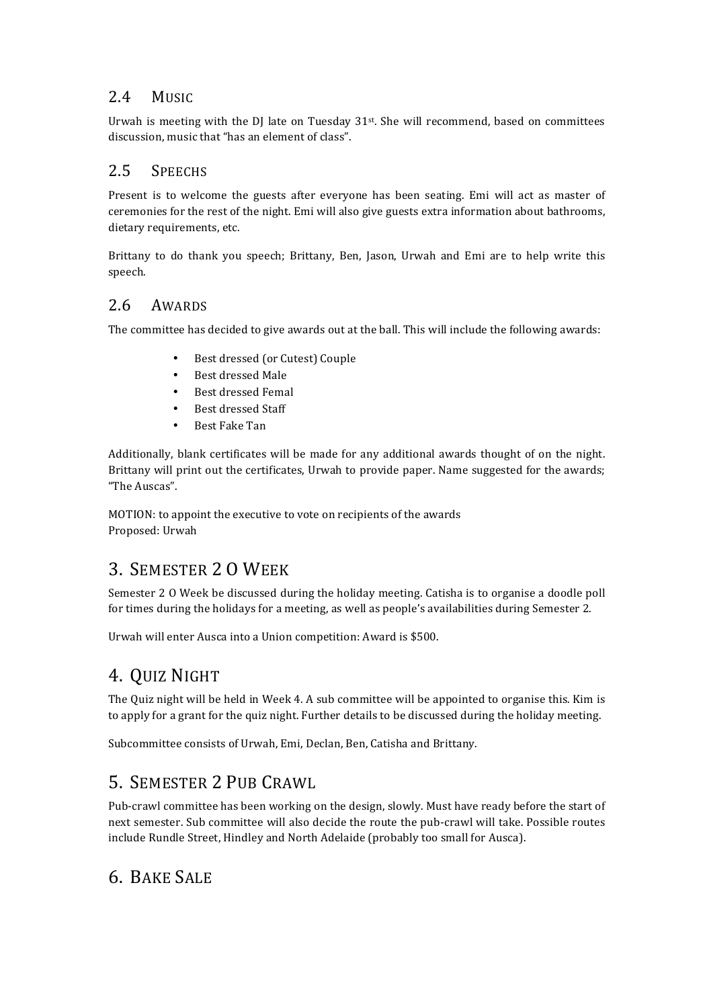#### 2.4 MUSIC

Urwah is meeting with the DJ late on Tuesday 31st. She will recommend, based on committees discussion, music that "has an element of class".

#### 2.5 SPEECHS

Present is to welcome the guests after everyone has been seating. Emi will act as master of ceremonies for the rest of the night. Emi will also give guests extra information about bathrooms, dietary requirements, etc.

Brittany to do thank you speech; Brittany, Ben, Jason, Urwah and Emi are to help write this speech. 

#### 2.6 AWARDS

The committee has decided to give awards out at the ball. This will include the following awards:

- Best dressed (or Cutest) Couple
- Best dressed Male
- Best dressed Femal
- Best dressed Staff
- Best Fake Tan

Additionally, blank certificates will be made for any additional awards thought of on the night. Brittany will print out the certificates, Urwah to provide paper. Name suggested for the awards; "The Auscas".

MOTION: to appoint the executive to vote on recipients of the awards Proposed: Urwah

## 3. SEMESTER 2 O WEEK

Semester 2 0 Week be discussed during the holiday meeting. Catisha is to organise a doodle poll for times during the holidays for a meeting, as well as people's availabilities during Semester 2.

Urwah will enter Ausca into a Union competition: Award is \$500.

## 4. QUIZ NIGHT

The Quiz night will be held in Week 4. A sub committee will be appointed to organise this. Kim is to apply for a grant for the quiz night. Further details to be discussed during the holiday meeting.

Subcommittee consists of Urwah, Emi, Declan, Ben, Catisha and Brittany.

## 5. SEMESTER 2 PUB CRAWL

Pub-crawl committee has been working on the design, slowly. Must have ready before the start of next semester. Sub committee will also decide the route the pub-crawl will take. Possible routes include Rundle Street, Hindley and North Adelaide (probably too small for Ausca).

## 6. BAKE SALE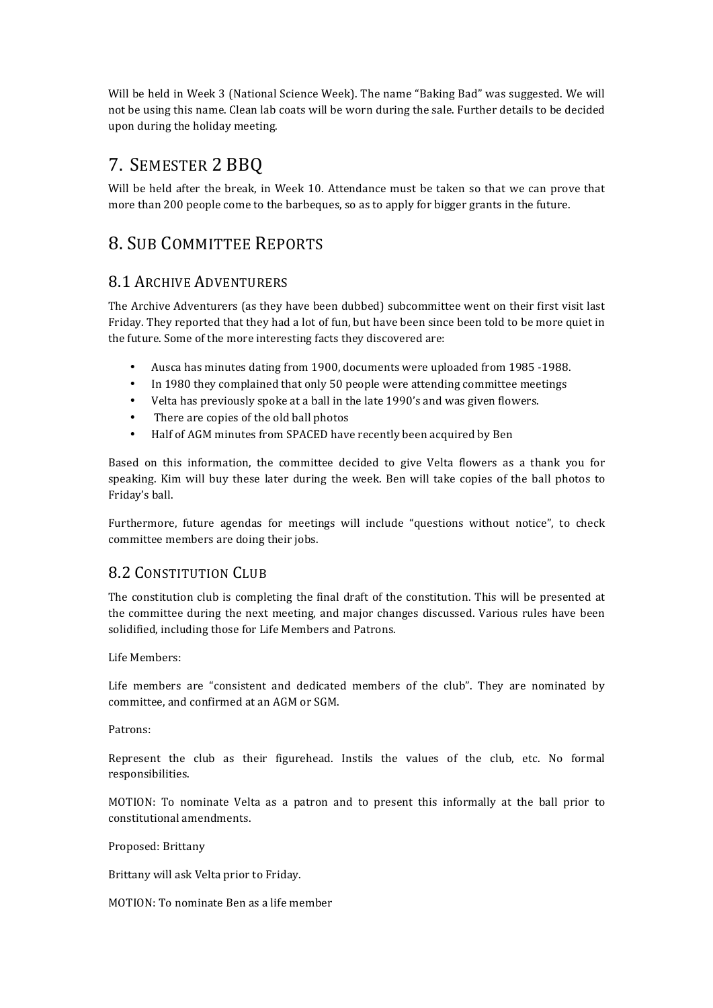Will be held in Week 3 (National Science Week). The name "Baking Bad" was suggested. We will not be using this name. Clean lab coats will be worn during the sale. Further details to be decided upon during the holiday meeting.

## 7. SEMESTER 2 BBQ

Will be held after the break, in Week 10. Attendance must be taken so that we can prove that more than 200 people come to the barbeques, so as to apply for bigger grants in the future.

## 8. SUB COMMITTEE REPORTS

#### 8.1 ARCHIVE ADVENTURERS

The Archive Adventurers (as they have been dubbed) subcommittee went on their first visit last Friday. They reported that they had a lot of fun, but have been since been told to be more quiet in the future. Some of the more interesting facts they discovered are:

- Ausca has minutes dating from 1900, documents were uploaded from 1985 -1988.
- In 1980 they complained that only 50 people were attending committee meetings
- Velta has previously spoke at a ball in the late 1990's and was given flowers.
- There are copies of the old ball photos
- Half of AGM minutes from SPACED have recently been acquired by Ben

Based on this information, the committee decided to give Velta flowers as a thank you for speaking. Kim will buy these later during the week. Ben will take copies of the ball photos to Friday's ball.

Furthermore, future agendas for meetings will include "questions without notice", to check committee members are doing their jobs.

#### 8.2 CONSTITUTION CLUB

The constitution club is completing the final draft of the constitution. This will be presented at the committee during the next meeting, and major changes discussed. Various rules have been solidified, including those for Life Members and Patrons.

Life Members:

Life members are "consistent and dedicated members of the club". They are nominated by committee, and confirmed at an AGM or SGM.

Patrons:

Represent the club as their figurehead. Instils the values of the club, etc. No formal responsibilities. 

MOTION: To nominate Velta as a patron and to present this informally at the ball prior to constitutional amendments.

Proposed: Brittany

Brittany will ask Velta prior to Friday.

MOTION: To nominate Ben as a life member